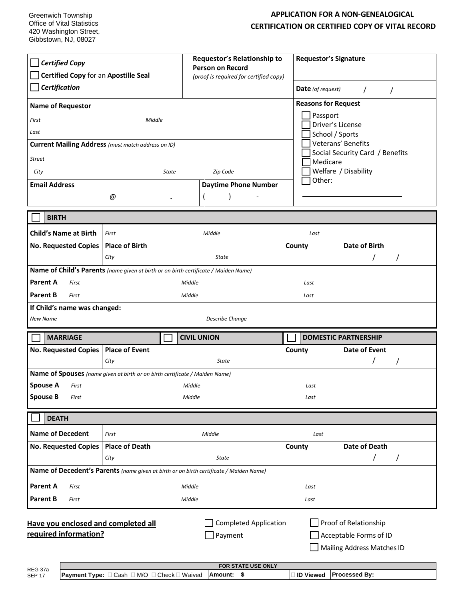Greenwich Township Office of Vital Statistics 420 Washington Street, Gibbstown, NJ, 08027

## **APPLICATION FOR A NON-GENEALOGICAL CERTIFICATION OR CERTIFIED COPY OF VITAL RECORD**

| <b>Certified Copy</b><br>Certified Copy for an Apostille Seal<br>Certification<br><b>Name of Requestor</b><br>First<br>Last<br><b>Street</b><br>City                                                                      | Middle<br><b>Current Mailing Address</b> (must match address on ID)<br>State | Requestor's Relationship to<br><b>Person on Record</b><br>(proof is required for certified copy)<br>Zip Code | <b>Requestor's Signature</b><br><b>Date</b> (of request)<br><b>Reasons for Request</b><br>Passport<br>Driver's License<br>School / Sports<br>Medicare | $\prime$<br>$\prime$<br>Veterans' Benefits<br>Social Security Card / Benefits<br>Welfare / Disability |  |
|---------------------------------------------------------------------------------------------------------------------------------------------------------------------------------------------------------------------------|------------------------------------------------------------------------------|--------------------------------------------------------------------------------------------------------------|-------------------------------------------------------------------------------------------------------------------------------------------------------|-------------------------------------------------------------------------------------------------------|--|
| <b>Email Address</b>                                                                                                                                                                                                      |                                                                              | <b>Daytime Phone Number</b>                                                                                  | Other:                                                                                                                                                |                                                                                                       |  |
|                                                                                                                                                                                                                           | @                                                                            |                                                                                                              |                                                                                                                                                       |                                                                                                       |  |
|                                                                                                                                                                                                                           |                                                                              |                                                                                                              |                                                                                                                                                       |                                                                                                       |  |
| <b>BIRTH</b>                                                                                                                                                                                                              |                                                                              |                                                                                                              |                                                                                                                                                       |                                                                                                       |  |
| <b>Child's Name at Birth</b>                                                                                                                                                                                              | First                                                                        | Middle                                                                                                       | Last                                                                                                                                                  |                                                                                                       |  |
| <b>No. Requested Copies</b>                                                                                                                                                                                               | <b>Place of Birth</b><br>City                                                | State                                                                                                        | County                                                                                                                                                | <b>Date of Birth</b>                                                                                  |  |
|                                                                                                                                                                                                                           |                                                                              |                                                                                                              |                                                                                                                                                       |                                                                                                       |  |
| Name of Child's Parents (name given at birth or on birth certificate / Maiden Name)<br><b>Parent A</b><br>First<br>Middle<br>Last                                                                                         |                                                                              |                                                                                                              |                                                                                                                                                       |                                                                                                       |  |
| <b>Parent B</b><br>First                                                                                                                                                                                                  |                                                                              | Middle                                                                                                       | Last                                                                                                                                                  |                                                                                                       |  |
| If Child's name was changed:                                                                                                                                                                                              |                                                                              |                                                                                                              |                                                                                                                                                       |                                                                                                       |  |
| <b>Describe Change</b><br><b>New Name</b>                                                                                                                                                                                 |                                                                              |                                                                                                              |                                                                                                                                                       |                                                                                                       |  |
| <b>MARRIAGE</b>                                                                                                                                                                                                           |                                                                              | <b>CIVIL UNION</b>                                                                                           |                                                                                                                                                       | <b>DOMESTIC PARTNERSHIP</b>                                                                           |  |
| No. Requested Copies                                                                                                                                                                                                      | <b>Place of Event</b>                                                        |                                                                                                              | County                                                                                                                                                | <b>Date of Event</b>                                                                                  |  |
|                                                                                                                                                                                                                           | City                                                                         | <b>State</b>                                                                                                 |                                                                                                                                                       |                                                                                                       |  |
|                                                                                                                                                                                                                           | Name of Spouses (name given at birth or on birth certificate / Maiden Name)  |                                                                                                              |                                                                                                                                                       |                                                                                                       |  |
| <b>Spouse A</b><br>First<br><b>Spouse B</b>                                                                                                                                                                               |                                                                              | Middle                                                                                                       |                                                                                                                                                       | Last                                                                                                  |  |
| First                                                                                                                                                                                                                     |                                                                              | Middle                                                                                                       | Last                                                                                                                                                  |                                                                                                       |  |
| <b>DEATH</b>                                                                                                                                                                                                              |                                                                              |                                                                                                              |                                                                                                                                                       |                                                                                                       |  |
| <b>Name of Decedent</b>                                                                                                                                                                                                   | First                                                                        | Middle                                                                                                       | Last                                                                                                                                                  |                                                                                                       |  |
| <b>No. Requested Copies</b>                                                                                                                                                                                               | <b>Place of Death</b>                                                        |                                                                                                              | County                                                                                                                                                | Date of Death                                                                                         |  |
|                                                                                                                                                                                                                           | City                                                                         | <b>State</b>                                                                                                 |                                                                                                                                                       | T<br>$\prime$                                                                                         |  |
| Name of Decedent's Parents (name given at birth or on birth certificate / Maiden Name)                                                                                                                                    |                                                                              |                                                                                                              |                                                                                                                                                       |                                                                                                       |  |
| <b>Parent A</b><br>First                                                                                                                                                                                                  |                                                                              | Middle                                                                                                       | Last                                                                                                                                                  |                                                                                                       |  |
| <b>Parent B</b><br>First                                                                                                                                                                                                  |                                                                              | Middle                                                                                                       | Last                                                                                                                                                  |                                                                                                       |  |
| <b>Completed Application</b><br>Proof of Relationship<br>Have you enclosed and completed all<br>required information?<br>Payment<br>Acceptable Forms of ID<br>Mailing Address Matches ID<br>FOR STATE USE ONLY<br>REG-37a |                                                                              |                                                                                                              |                                                                                                                                                       |                                                                                                       |  |
| <b>SEP 17</b>                                                                                                                                                                                                             | <b>Payment Type:</b> □ Cash □ M/O □ Check □ Waived                           | Amount: \$                                                                                                   | ∃ ID Viewed                                                                                                                                           | Processed By:                                                                                         |  |